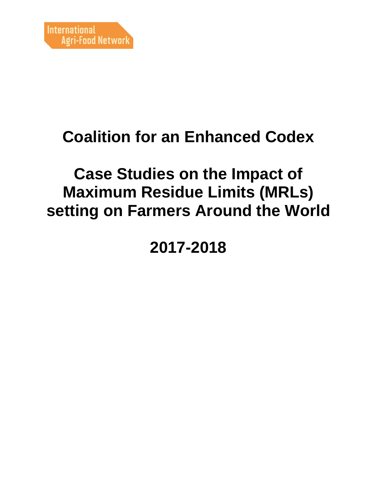# **Coalition for an Enhanced Codex**

## **Case Studies on the Impact of Maximum Residue Limits (MRLs) setting on Farmers Around the World**

**2017-2018**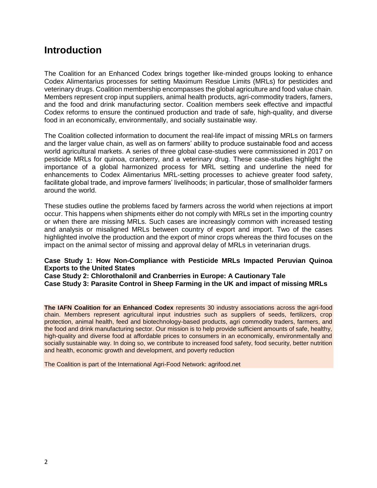### **Introduction**

The Coalition for an Enhanced Codex brings together like-minded groups looking to enhance Codex Alimentarius processes for setting Maximum Residue Limits (MRLs) for pesticides and veterinary drugs. Coalition membership encompasses the global agriculture and food value chain. Members represent crop input suppliers, animal health products, agri-commodity traders, famers, and the food and drink manufacturing sector. Coalition members seek effective and impactful Codex reforms to ensure the continued production and trade of safe, high-quality, and diverse food in an economically, environmentally, and socially sustainable way.

The Coalition collected information to document the real-life impact of missing MRLs on farmers and the larger value chain, as well as on farmers' ability to produce sustainable food and access world agricultural markets. A series of three global case-studies were commissioned in 2017 on pesticide MRLs for quinoa, cranberry, and a veterinary drug. These case-studies highlight the importance of a global harmonized process for MRL setting and underline the need for enhancements to Codex Alimentarius MRL-setting processes to achieve greater food safety, facilitate global trade, and improve farmers' livelihoods; in particular, those of smallholder farmers around the world.

These studies outline the problems faced by farmers across the world when rejections at import occur. This happens when shipments either do not comply with MRLs set in the importing country or when there are missing MRLs. Such cases are increasingly common with increased testing and analysis or misaligned MRLs between country of export and import. Two of the cases highlighted involve the production and the export of minor crops whereas the third focuses on the impact on the animal sector of missing and approval delay of MRLs in veterinarian drugs.

#### **Case Study 1: How Non-Compliance with Pesticide MRLs Impacted Peruvian Quinoa Exports to the United States**

**Case Study 2: Chlorothalonil and Cranberries in Europe: A Cautionary Tale Case Study 3: Parasite Control in Sheep Farming in the UK and impact of missing MRLs**

**The IAFN Coalition for an Enhanced Codex** represents 30 industry associations across the agri-food chain. Members represent agricultural input industries such as suppliers of seeds, fertilizers, crop protection, animal health, feed and biotechnology-based products, agri commodity traders, farmers, and the food and drink manufacturing sector. Our mission is to help provide sufficient amounts of safe, healthy, high-quality and diverse food at affordable prices to consumers in an economically, environmentally and socially sustainable way. In doing so, we contribute to increased food safety, food security, better nutrition and health, economic growth and development, and poverty reduction

The Coalition is part of the International Agri-Food Network: agrifood.net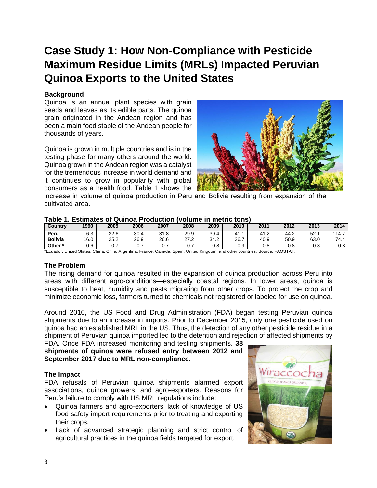## **Case Study 1: How Non-Compliance with Pesticide Maximum Residue Limits (MRLs) Impacted Peruvian Quinoa Exports to the United States**

#### **Background**

Quinoa is an annual plant species with grain seeds and leaves as its edible parts. The quinoa grain originated in the Andean region and has been a main food staple of the Andean people for thousands of years.

Quinoa is grown in multiple countries and is in the testing phase for many others around the world. Quinoa grown in the Andean region was a catalyst for the tremendous increase in world demand and it continues to grow in popularity with global consumers as a health food. Table 1 shows the



increase in volume of quinoa production in Peru and Bolivia resulting from expansion of the cultivated area.

#### **Table 1. Estimates of Quinoa Production (volume in metric tons)**

| Country        | 1990 | 2005 | 2006      | 2007          | 2008           | 2009 | 2010 | 2011 | 2012       | 2013 | 2014  |
|----------------|------|------|-----------|---------------|----------------|------|------|------|------------|------|-------|
| Peru           | 6.3  | 32.6 | 30.4<br>4 | 31.8          | 29.9           | 39.4 | 41.  | 41.2 | 44.2       | 52.  | 114.7 |
| <b>Bolivia</b> | 16.0 | 25.2 | 26.9      | 26.6          | n7 n<br>ے.     | 34.2 | 36.7 | 40.9 | 50.9       | 63.0 | 74.4  |
| Other*         | 0.6  |      | -<br>U.   | -<br>⌒<br>U., | $\cdot$ $\sim$ | 0.8  | 0.9  | 0.8  | ገ Ջ<br>v.o | 0.8  | 0.8   |

\*Ecuador, United States, China, Chile, Argentina, France, Canada, Spain, United Kingdom, and other countries. Source: FAOSTAT.

#### **The Problem**

The rising demand for quinoa resulted in the expansion of quinoa production across Peru into areas with different agro-conditions—especially coastal regions. In lower areas, quinoa is susceptible to heat, humidity and pests migrating from other crops. To protect the crop and minimize economic loss, farmers turned to chemicals not registered or labeled for use on quinoa.

Around 2010, the US Food and Drug Administration (FDA) began testing Peruvian quinoa shipments due to an increase in imports. Prior to December 2015, only one pesticide used on quinoa had an established MRL in the US. Thus, the detection of any other pesticide residue in a shipment of Peruvian quinoa imported led to the detention and rejection of affected shipments by

FDA. Once FDA increased monitoring and testing shipments, **38 shipments of quinoa were refused entry between 2012 and September 2017 due to MRL non-compliance.**

#### **The Impact**

FDA refusals of Peruvian quinoa shipments alarmed export associations, quinoa growers, and agro-exporters. Reasons for Peru's failure to comply with US MRL regulations include:

- Quinoa farmers and agro-exporters' lack of knowledge of US food safety import requirements prior to treating and exporting their crops.
- Lack of advanced strategic planning and strict control of agricultural practices in the quinoa fields targeted for export.

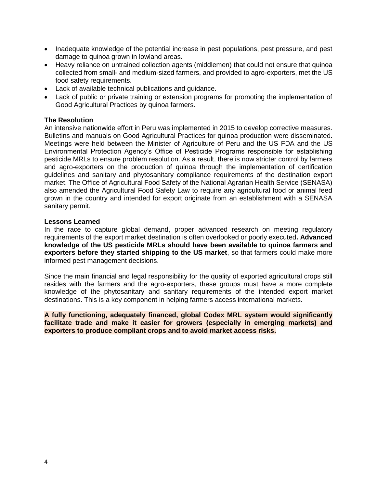- Inadequate knowledge of the potential increase in pest populations, pest pressure, and pest damage to quinoa grown in lowland areas.
- Heavy reliance on untrained collection agents (middlemen) that could not ensure that quinoa collected from small- and medium-sized farmers, and provided to agro-exporters, met the US food safety requirements.
- Lack of available technical publications and guidance.
- Lack of public or private training or extension programs for promoting the implementation of Good Agricultural Practices by quinoa farmers.

#### **The Resolution**

An intensive nationwide effort in Peru was implemented in 2015 to develop corrective measures. Bulletins and manuals on Good Agricultural Practices for quinoa production were disseminated. Meetings were held between the Minister of Agriculture of Peru and the US FDA and the US Environmental Protection Agency's Office of Pesticide Programs responsible for establishing pesticide MRLs to ensure problem resolution. As a result, there is now stricter control by farmers and agro-exporters on the production of quinoa through the implementation of certification guidelines and sanitary and phytosanitary compliance requirements of the destination export market. The Office of Agricultural Food Safety of the National Agrarian Health Service (SENASA) also amended the Agricultural Food Safety Law to require any agricultural food or animal feed grown in the country and intended for export originate from an establishment with a SENASA sanitary permit.

#### **Lessons Learned**

In the race to capture global demand, proper advanced research on meeting regulatory requirements of the export market destination is often overlooked or poorly executed**. Advanced knowledge of the US pesticide MRLs should have been available to quinoa farmers and exporters before they started shipping to the US market**, so that farmers could make more informed pest management decisions.

Since the main financial and legal responsibility for the quality of exported agricultural crops still resides with the farmers and the agro-exporters, these groups must have a more complete knowledge of the phytosanitary and sanitary requirements of the intended export market destinations. This is a key component in helping farmers access international markets.

**A fully functioning, adequately financed, global Codex MRL system would significantly facilitate trade and make it easier for growers (especially in emerging markets) and exporters to produce compliant crops and to avoid market access risks.**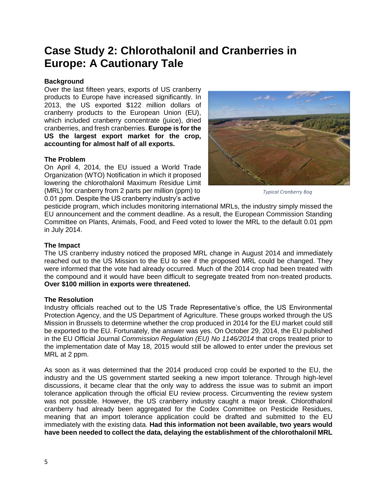### **Case Study 2: Chlorothalonil and Cranberries in Europe: A Cautionary Tale**

#### **Background**

Over the last fifteen years, exports of US cranberry products to Europe have increased significantly. In 2013, the US exported \$122 million dollars of cranberry products to the European Union (EU), which included cranberry concentrate (juice), dried cranberries, and fresh cranberries. **Europe is for the US the largest export market for the crop, accounting for almost half of all exports.**

#### **The Problem**

On April 4, 2014, the EU issued a World Trade Organization (WTO) Notification in which it proposed lowering the chlorothalonil Maximum Residue Limit (MRL) for cranberry from 2 parts per million (ppm) to 0.01 ppm. Despite the US cranberry industry's active



*Typical Cranberry Bog*

pesticide program, which includes monitoring international MRLs, the industry simply missed the EU announcement and the comment deadline. As a result, the European Commission Standing Committee on Plants, Animals, Food, and Feed voted to lower the MRL to the default 0.01 ppm in July 2014.

#### **The Impact**

The US cranberry industry noticed the proposed MRL change in August 2014 and immediately reached out to the US Mission to the EU to see if the proposed MRL could be changed. They were informed that the vote had already occurred. Much of the 2014 crop had been treated with the compound and it would have been difficult to segregate treated from non-treated products. **Over \$100 million in exports were threatened.** 

#### **The Resolution**

Industry officials reached out to the US Trade Representative's office, the US Environmental Protection Agency, and the US Department of Agriculture. These groups worked through the US Mission in Brussels to determine whether the crop produced in 2014 for the EU market could still be exported to the EU. Fortunately, the answer was yes. On October 29, 2014, the EU published in the EU Official Journal *Commission Regulation (EU) No 1146/2014* that crops treated prior to the implementation date of May 18, 2015 would still be allowed to enter under the previous set MRL at 2 ppm.

As soon as it was determined that the 2014 produced crop could be exported to the EU, the industry and the US government started seeking a new import tolerance. Through high-level discussions, it became clear that the only way to address the issue was to submit an import tolerance application through the official EU review process. Circumventing the review system was not possible. However, the US cranberry industry caught a major break. Chlorothalonil cranberry had already been aggregated for the Codex Committee on Pesticide Residues, meaning that an import tolerance application could be drafted and submitted to the EU immediately with the existing data. **Had this information not been available, two years would have been needed to collect the data, delaying the establishment of the chlorothalonil MRL**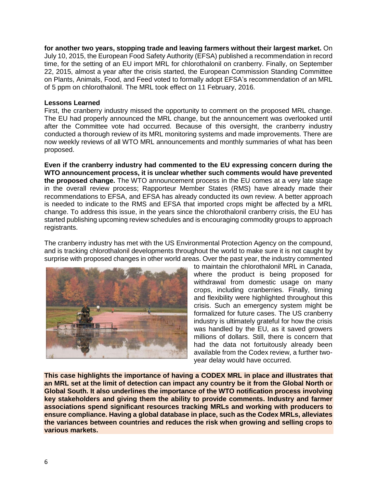**for another two years, stopping trade and leaving farmers without their largest market.** On July 10, 2015, the European Food Safety Authority (EFSA) published a recommendation in record time, for the setting of an EU import MRL for chlorothalonil on cranberry. Finally, on September 22, 2015, almost a year after the crisis started, the European Commission Standing Committee on Plants, Animals, Food, and Feed voted to formally adopt EFSA's recommendation of an MRL of 5 ppm on chlorothalonil. The MRL took effect on 11 February, 2016.

#### **Lessons Learned**

First, the cranberry industry missed the opportunity to comment on the proposed MRL change. The EU had properly announced the MRL change, but the announcement was overlooked until after the Committee vote had occurred. Because of this oversight, the cranberry industry conducted a thorough review of its MRL monitoring systems and made improvements. There are now weekly reviews of all WTO MRL announcements and monthly summaries of what has been proposed.

**Even if the cranberry industry had commented to the EU expressing concern during the WTO announcement process, it is unclear whether such comments would have prevented the proposed change.** The WTO announcement process in the EU comes at a very late stage in the overall review process; Rapporteur Member States (RMS) have already made their recommendations to EFSA, and EFSA has already conducted its own review. A better approach is needed to indicate to the RMS and EFSA that imported crops might be affected by a MRL change. To address this issue, in the years since the chlorothalonil cranberry crisis, the EU has started publishing upcoming review schedules and is encouraging commodity groups to approach registrants.

The cranberry industry has met with the US Environmental Protection Agency on the compound, and is tracking chlorothalonil developments throughout the world to make sure it is not caught by surprise with proposed changes in other world areas. Over the past year, the industry commented



to maintain the chlorothalonil MRL in Canada, where the product is being proposed for withdrawal from domestic usage on many crops, including cranberries. Finally, timing and flexibility were highlighted throughout this crisis. Such an emergency system might be formalized for future cases. The US cranberry industry is ultimately grateful for how the crisis was handled by the EU, as it saved growers millions of dollars. Still, there is concern that had the data not fortuitously already been available from the Codex review, a further twoyear delay would have occurred.

**This case highlights the importance of having a CODEX MRL in place and illustrates that an MRL set at the limit of detection can impact any country be it from the Global North or Global South. It also underlines the importance of the WTO notification process involving key stakeholders and giving them the ability to provide comments. Industry and farmer associations spend significant resources tracking MRLs and working with producers to ensure compliance. Having a global database in place, such as the Codex MRLs, alleviates the variances between countries and reduces the risk when growing and selling crops to various markets.**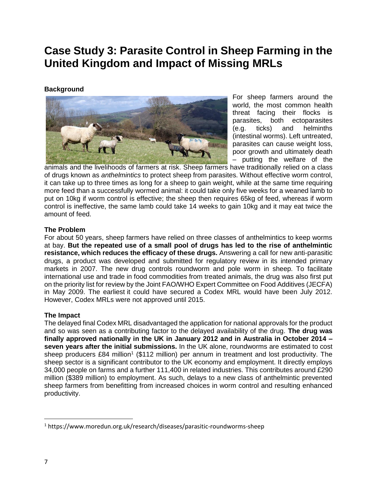## **Case Study 3: Parasite Control in Sheep Farming in the United Kingdom and Impact of Missing MRLs**

#### **Background**



For sheep farmers around the world, the most common health threat facing their flocks is parasites, both ectoparasites (e.g. ticks) and helminths (intestinal worms). Left untreated, parasites can cause weight loss, poor growth and ultimately death – putting the welfare of the

animals and the livelihoods of farmers at risk. Sheep farmers have traditionally relied on a class of drugs known as *anthelmintics* to protect sheep from parasites. Without effective worm control, it can take up to three times as long for a sheep to gain weight, while at the same time requiring more feed than a successfully wormed animal: it could take only five weeks for a weaned lamb to put on 10kg if worm control is effective; the sheep then requires 65kg of feed, whereas if worm control is ineffective, the same lamb could take 14 weeks to gain 10kg and it may eat twice the amount of feed.

#### **The Problem**

For about 50 years, sheep farmers have relied on three classes of anthelmintics to keep worms at bay. **But the repeated use of a small pool of drugs has led to the rise of anthelmintic resistance, which reduces the efficacy of these drugs.** Answering a call for new anti-parasitic drugs, a product was developed and submitted for regulatory review in its intended primary markets in 2007. The new drug controls roundworm and pole worm in sheep. To facilitate international use and trade in food commodities from treated animals, the drug was also first put on the priority list for review by the Joint FAO/WHO Expert Committee on Food Additives (JECFA) in May 2009. The earliest it could have secured a Codex MRL would have been July 2012. However, Codex MRLs were not approved until 2015.

#### **The Impact**

The delayed final Codex MRL disadvantaged the application for national approvals for the product and so was seen as a contributing factor to the delayed availability of the drug. **The drug was finally approved nationally in the UK in January 2012 and in Australia in October 2014 – seven years after the initial submissions.** In the UK alone, roundworms are estimated to cost sheep producers £84 million<sup>1</sup> (\$112 million) per annum in treatment and lost productivity. The sheep sector is a significant contributor to the UK economy and employment. It directly employs 34,000 people on farms and a further 111,400 in related industries. This contributes around £290 million (\$389 million) to employment. As such, delays to a new class of anthelmintic prevented sheep farmers from benefitting from increased choices in worm control and resulting enhanced productivity.

 $\overline{\phantom{a}}$ 

<sup>1</sup> <https://www.moredun.org.uk/research/diseases/parasitic-roundworms-sheep>